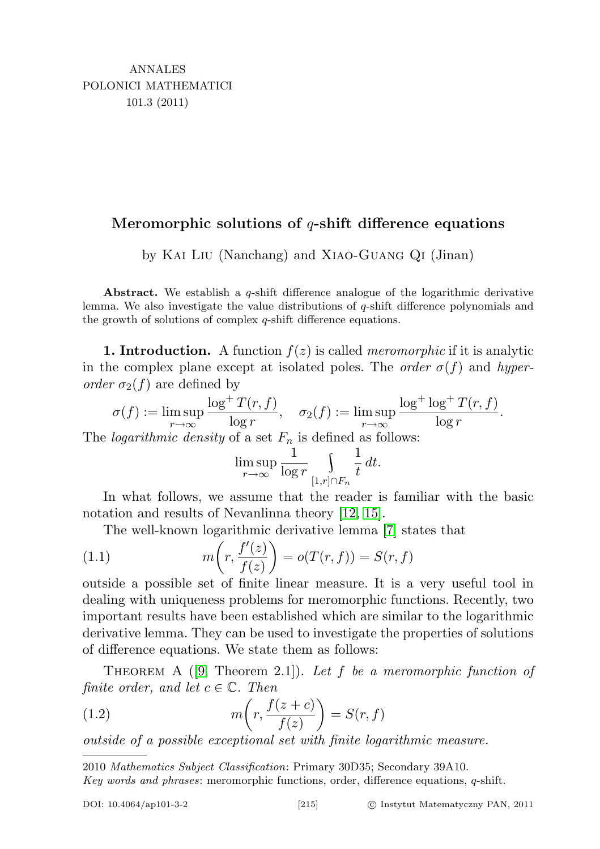## Meromorphic solutions of  $q$ -shift difference equations

by Kai Liu (Nanchang) and Xiao-Guang Qi (Jinan)

Abstract. We establish a  $q$ -shift difference analogue of the logarithmic derivative lemma. We also investigate the value distributions of  $q$ -shift difference polynomials and the growth of solutions of complex q-shift difference equations.

**1. Introduction.** A function  $f(z)$  is called *meromorphic* if it is analytic in the complex plane except at isolated poles. The *order*  $\sigma(f)$  and *hyper*order  $\sigma_2(f)$  are defined by

$$
\sigma(f) := \limsup_{r \to \infty} \frac{\log^+ T(r, f)}{\log r}, \quad \sigma_2(f) := \limsup_{r \to \infty} \frac{\log^+ \log^+ T(r, f)}{\log r}.
$$

The *logarithmic density* of a set  $F_n$  is defined as follows:

<span id="page-0-1"></span>
$$
\limsup_{r \to \infty} \frac{1}{\log r} \int_{[1,r] \cap F_n} \frac{1}{t} dt.
$$

In what follows, we assume that the reader is familiar with the basic notation and results of Nevanlinna theory [\[12,](#page-10-0) [15\]](#page-10-1).

The well-known logarithmic derivative lemma [\[7\]](#page-9-0) states that

(1.1) 
$$
m\left(r, \frac{f'(z)}{f(z)}\right) = o(T(r, f)) = S(r, f)
$$

outside a possible set of finite linear measure. It is a very useful tool in dealing with uniqueness problems for meromorphic functions. Recently, two important results have been established which are similar to the logarithmic derivative lemma. They can be used to investigate the properties of solutions of difference equations. We state them as follows:

THEOREM A  $([9,$  $([9,$  Theorem 2.1]). Let f be a meromorphic function of finite order, and let  $c \in \mathbb{C}$ . Then

<span id="page-0-0"></span>(1.2) 
$$
m\left(r, \frac{f(z+c)}{f(z)}\right) = S(r, f)
$$

outside of a possible exceptional set with finite logarithmic measure.

2010 Mathematics Subject Classification: Primary 30D35; Secondary 39A10.

Key words and phrases: meromorphic functions, order, difference equations, q-shift.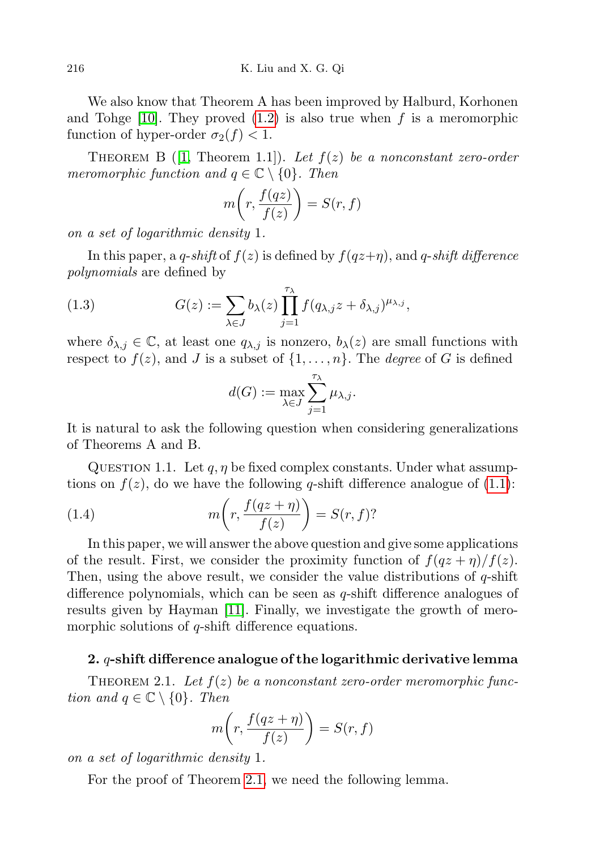We also know that Theorem A has been improved by Halburd, Korhonen and Tohge [\[10\]](#page-9-2). They proved  $(1.2)$  is also true when f is a meromorphic function of hyper-order  $\sigma_2(f) < 1$ .

THEOREM B ([\[1,](#page-9-3) Theorem 1.1]). Let  $f(z)$  be a nonconstant zero-order meromorphic function and  $q \in \mathbb{C} \setminus \{0\}$ . Then

$$
m\bigg(r, \frac{f(qz)}{f(z)}\bigg) = S(r, f)
$$

on a set of logarithmic density 1.

In this paper, a q-shift of  $f(z)$  is defined by  $f(qz+\eta)$ , and q-shift difference polynomials are defined by

(1.3) 
$$
G(z) := \sum_{\lambda \in J} b_{\lambda}(z) \prod_{j=1}^{\tau_{\lambda}} f(q_{\lambda,j} z + \delta_{\lambda,j})^{\mu_{\lambda,j}},
$$

where  $\delta_{\lambda,j} \in \mathbb{C}$ , at least one  $q_{\lambda,j}$  is nonzero,  $b_{\lambda}(z)$  are small functions with respect to  $f(z)$ , and J is a subset of  $\{1, \ldots, n\}$ . The *degree* of G is defined

$$
d(G) := \max_{\lambda \in J} \sum_{j=1}^{\tau_{\lambda}} \mu_{\lambda, j}.
$$

It is natural to ask the following question when considering generalizations of Theorems A and B.

QUESTION 1.1. Let  $q, \eta$  be fixed complex constants. Under what assumptions on  $f(z)$ , do we have the following q-shift difference analogue of  $(1.1)$  $(1.1)$ :

(1.4) 
$$
m\left(r, \frac{f(qz+\eta)}{f(z)}\right) = S(r, f)?
$$

In this paper, we will answer the above question and give some applications of the result. First, we consider the proximity function of  $f(qz + \eta)/f(z)$ . Then, using the above result, we consider the value distributions of  $q$ -shift difference polynomials, which can be seen as q-shift difference analogues of results given by Hayman [\[11\]](#page-9-4). Finally, we investigate the growth of meromorphic solutions of q-shift difference equations.

## 2.  $q$ -shift difference analogue of the logarithmic derivative lemma

<span id="page-1-0"></span>THEOREM 2.1. Let  $f(z)$  be a nonconstant zero-order meromorphic function and  $q \in \mathbb{C} \setminus \{0\}$ . Then

$$
m\bigg(r, \frac{f(qz+\eta)}{f(z)}\bigg) = S(r, f)
$$

on a set of logarithmic density 1.

<span id="page-1-1"></span>For the proof of Theorem [2.1,](#page-1-0) we need the following lemma.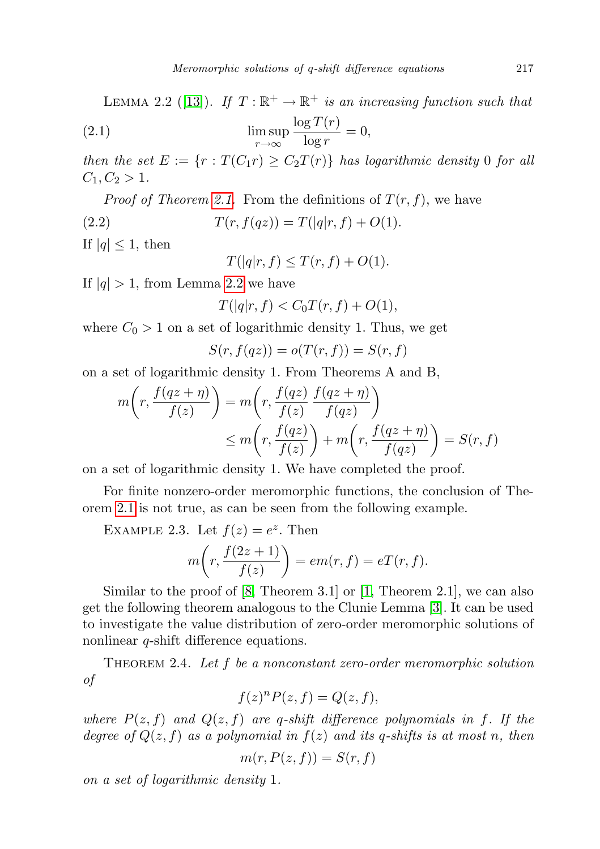LEMMA 2.2 ([\[13\]](#page-10-2)). If  $T : \mathbb{R}^+ \to \mathbb{R}^+$  is an increasing function such that

(2.1) 
$$
\limsup_{r \to \infty} \frac{\log T(r)}{\log r} = 0,
$$

then the set  $E := \{r : T(C_1r) \geq C_2T(r)\}\$  has logarithmic density 0 for all  $C_1, C_2 > 1.$ 

*Proof of Theorem [2.1.](#page-1-0)* From the definitions of  $T(r, f)$ , we have

(2.2)  $T(r, f(qz)) = T(|q|r, f) + O(1).$ 

If  $|q| \leq 1$ , then

$$
T(|q|r, f) \le T(r, f) + O(1).
$$

If  $|q| > 1$ , from Lemma [2.2](#page-1-1) we have

$$
T(|q|r, f) < C_0 T(r, f) + O(1),
$$

where  $C_0 > 1$  on a set of logarithmic density 1. Thus, we get

$$
S(r, f(qz)) = o(T(r, f)) = S(r, f)
$$

on a set of logarithmic density 1. From Theorems A and B,

$$
m\left(r, \frac{f(qz+\eta)}{f(z)}\right) = m\left(r, \frac{f(qz)}{f(z)} \frac{f(qz+\eta)}{f(qz)}\right)
$$
  

$$
\leq m\left(r, \frac{f(qz)}{f(z)}\right) + m\left(r, \frac{f(qz+\eta)}{f(qz)}\right) = S(r, f)
$$

on a set of logarithmic density 1. We have completed the proof.

For finite nonzero-order meromorphic functions, the conclusion of Theorem [2.1](#page-1-0) is not true, as can be seen from the following example.

EXAMPLE 2.3. Let  $f(z) = e^z$ . Then

$$
m\bigg(r,\frac{f(2z+1)}{f(z)}\bigg) = em(r,f) = eT(r,f).
$$

Similar to the proof of [\[8,](#page-9-5) Theorem 3.1] or [\[1,](#page-9-3) Theorem 2.1], we can also get the following theorem analogous to the Clunie Lemma [\[3\]](#page-9-6). It can be used to investigate the value distribution of zero-order meromorphic solutions of nonlinear *q*-shift difference equations.

<span id="page-2-0"></span>THEOREM 2.4. Let f be a nonconstant zero-order meromorphic solution of

$$
f(z)^n P(z, f) = Q(z, f),
$$

where  $P(z, f)$  and  $Q(z, f)$  are q-shift difference polynomials in f. If the degree of  $Q(z, f)$  as a polynomial in  $f(z)$  and its q-shifts is at most n, then

$$
m(r, P(z, f)) = S(r, f)
$$

on a set of logarithmic density 1.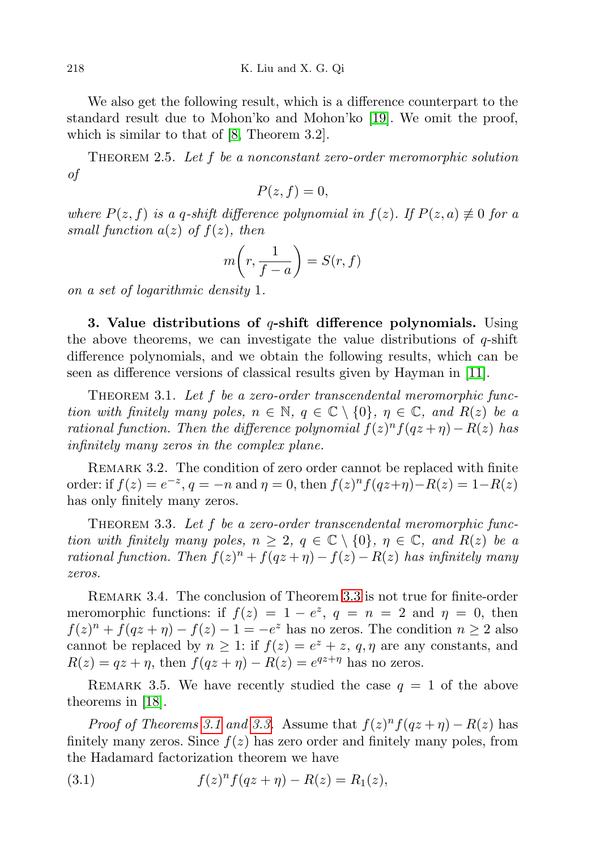We also get the following result, which is a difference counterpart to the standard result due to Mohon'ko and Mohon'ko [\[19\]](#page-10-3). We omit the proof, which is similar to that of [\[8,](#page-9-5) Theorem 3.2].

THEOREM 2.5. Let  $f$  be a nonconstant zero-order meromorphic solution of

$$
P(z,f) = 0,
$$

where  $P(z, f)$  is a q-shift difference polynomial in  $f(z)$ . If  $P(z, a) \neq 0$  for a small function  $a(z)$  of  $f(z)$ , then

$$
m\bigg(r,\frac{1}{f-a}\bigg) = S(r,f)
$$

on a set of logarithmic density 1.

3. Value distributions of  $q$ -shift difference polynomials. Using the above theorems, we can investigate the value distributions of  $q$ -shift difference polynomials, and we obtain the following results, which can be seen as difference versions of classical results given by Hayman in [\[11\]](#page-9-4).

<span id="page-3-1"></span>THEOREM 3.1. Let  $f$  be a zero-order transcendental meromorphic function with finitely many poles,  $n \in \mathbb{N}$ ,  $q \in \mathbb{C} \setminus \{0\}$ ,  $\eta \in \mathbb{C}$ , and  $R(z)$  be a rational function. Then the difference polynomial  $f(z)^n f(qz + \eta) - R(z)$  has infinitely many zeros in the complex plane.

REMARK 3.2. The condition of zero order cannot be replaced with finite order: if  $f(z) = e^{-z}$ ,  $q = -n$  and  $\eta = 0$ , then  $f(z)^n f(qz + \eta) - R(z) = 1 - R(z)$ has only finitely many zeros.

<span id="page-3-0"></span>THEOREM 3.3. Let f be a zero-order transcendental meromorphic function with finitely many poles,  $n \geq 2$ ,  $q \in \mathbb{C} \setminus \{0\}$ ,  $\eta \in \mathbb{C}$ , and  $R(z)$  be a rational function. Then  $f(z)^n + f(qz + \eta) - f(z) - R(z)$  has infinitely many zeros.

Remark 3.4. The conclusion of Theorem [3.3](#page-3-0) is not true for finite-order meromorphic functions: if  $f(z) = 1 - e^z$ ,  $q = n = 2$  and  $\eta = 0$ , then  $f(z)^n + f(qz + \eta) - f(z) - 1 = -e^z$  has no zeros. The condition  $n \ge 2$  also cannot be replaced by  $n \geq 1$ : if  $f(z) = e^z + z$ ,  $q, \eta$  are any constants, and  $R(z) = qz + \eta$ , then  $f(qz + \eta) - R(z) = e^{qz + \eta}$  has no zeros.

REMARK 3.5. We have recently studied the case  $q = 1$  of the above theorems in [\[18\]](#page-10-4).

*Proof of Theorems [3.1](#page-3-1) and [3.3.](#page-3-0)* Assume that  $f(z)^n f(qz + \eta) - R(z)$  has finitely many zeros. Since  $f(z)$  has zero order and finitely many poles, from the Hadamard factorization theorem we have

<span id="page-3-2"></span>(3.1) 
$$
f(z)^n f(qz + \eta) - R(z) = R_1(z),
$$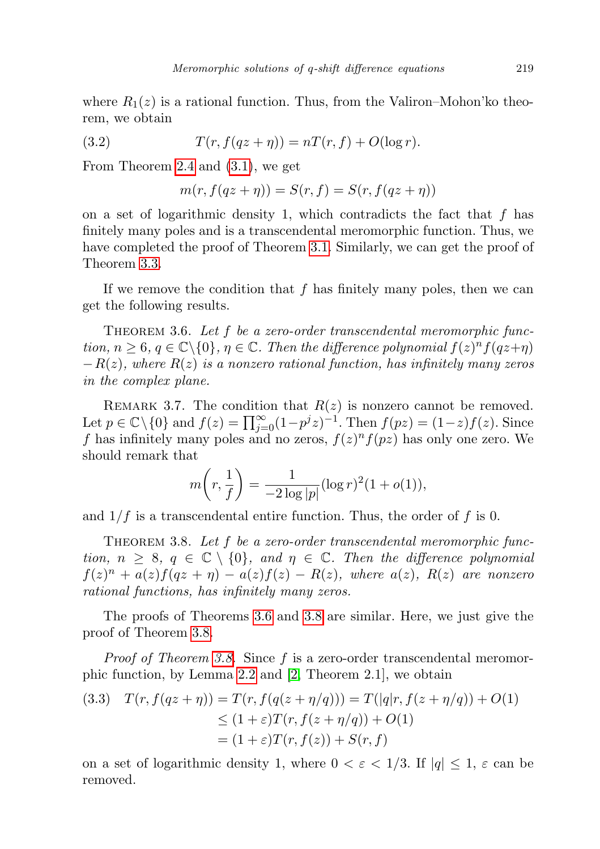where  $R_1(z)$  is a rational function. Thus, from the Valiron–Mohon'ko theorem, we obtain

(3.2) 
$$
T(r, f(qz + \eta)) = nT(r, f) + O(\log r).
$$

From Theorem [2.4](#page-2-0) and [\(3.1\)](#page-3-2), we get

$$
m(r, f(qz + \eta)) = S(r, f) = S(r, f(qz + \eta))
$$

on a set of logarithmic density 1, which contradicts the fact that  $f$  has finitely many poles and is a transcendental meromorphic function. Thus, we have completed the proof of Theorem [3.1.](#page-3-1) Similarly, we can get the proof of Theorem [3.3.](#page-3-0)

If we remove the condition that  $f$  has finitely many poles, then we can get the following results.

<span id="page-4-0"></span>THEOREM 3.6. Let  $f$  be a zero-order transcendental meromorphic function,  $n \geq 6$ ,  $q \in \mathbb{C} \setminus \{0\}$ ,  $\eta \in \mathbb{C}$ . Then the difference polynomial  $f(z)^n f(qz+\eta)$  $-R(z)$ , where  $R(z)$  is a nonzero rational function, has infinitely many zeros in the complex plane.

REMARK 3.7. The condition that  $R(z)$  is nonzero cannot be removed. Let  $p \in \mathbb{C} \setminus \{0\}$  and  $f(z) = \prod_{j=0}^{\infty} (1-p^j z)^{-1}$ . Then  $f(pz) = (1-z)f(z)$ . Since f has infinitely many poles and no zeros,  $f(z)^n f(pz)$  has only one zero. We should remark that

$$
m\left(r, \frac{1}{f}\right) = \frac{1}{-2\log|p|} (\log r)^2 (1 + o(1)),
$$

and  $1/f$  is a transcendental entire function. Thus, the order of f is 0.

<span id="page-4-1"></span>THEOREM 3.8. Let f be a zero-order transcendental meromorphic function,  $n \geq 8$ ,  $q \in \mathbb{C} \setminus \{0\}$ , and  $\eta \in \mathbb{C}$ . Then the difference polynomial  $f(z)^n + a(z)f(qz + \eta) - a(z)f(z) - R(z)$ , where  $a(z)$ ,  $R(z)$  are nonzero rational functions, has infinitely many zeros.

The proofs of Theorems [3.6](#page-4-0) and [3.8](#page-4-1) are similar. Here, we just give the proof of Theorem [3.8.](#page-4-1)

Proof of Theorem [3.8.](#page-4-1) Since f is a zero-order transcendental meromorphic function, by Lemma [2.2](#page-1-1) and [\[2,](#page-9-7) Theorem 2.1], we obtain

(3.3) 
$$
T(r, f(qz + \eta)) = T(r, f(q(z + \eta/q))) = T(|q|r, f(z + \eta/q)) + O(1)
$$

$$
\leq (1 + \varepsilon)T(r, f(z + \eta/q)) + O(1)
$$

$$
= (1 + \varepsilon)T(r, f(z)) + S(r, f)
$$

on a set of logarithmic density 1, where  $0 < \varepsilon < 1/3$ . If  $|q| \leq 1$ ,  $\varepsilon$  can be removed.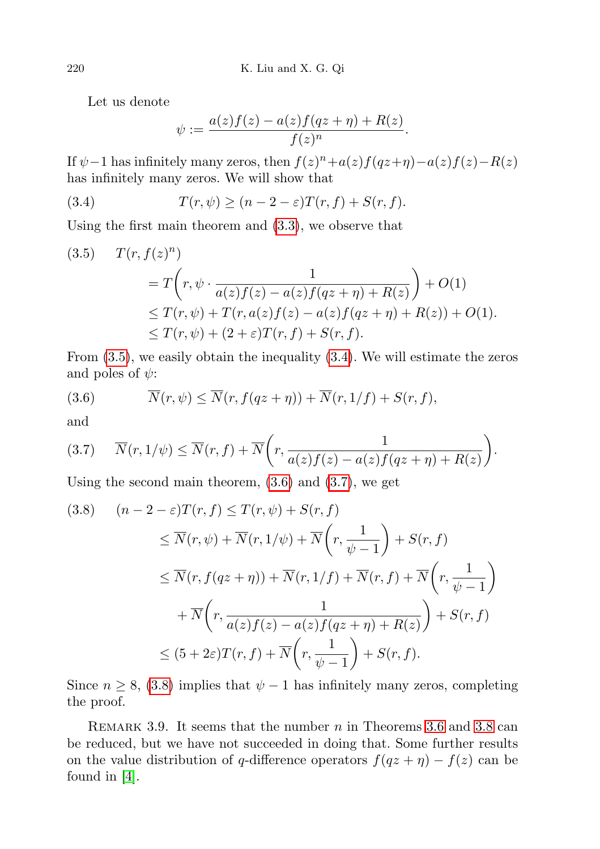Let us denote

<span id="page-5-1"></span>
$$
\psi := \frac{a(z)f(z) - a(z)f(qz + \eta) + R(z)}{f(z)^n}.
$$

If  $\psi$  –1 has infinitely many zeros, then  $f(z)^n + a(z)f(qz+\eta) - a(z)f(z) - R(z)$ has infinitely many zeros. We will show that

(3.4) 
$$
T(r,\psi) \ge (n-2-\varepsilon)T(r,f) + S(r,f).
$$

Using the first main theorem and [\(3.3\)](#page-4-1), we observe that

<span id="page-5-0"></span>
$$
(3.5) \quad T(r, f(z)^n)
$$
  
=  $T\left(r, \psi \cdot \frac{1}{a(z)f(z) - a(z)f(qz + \eta) + R(z)}\right) + O(1)$   
\$\leq T(r, \psi) + T(r, a(z)f(z) - a(z)f(qz + \eta) + R(z)) + O(1)\$.  
\$\leq T(r, \psi) + (2 + \varepsilon)T(r, f) + S(r, f).

From [\(3.5\)](#page-5-0), we easily obtain the inequality [\(3.4\)](#page-5-1). We will estimate the zeros and poles of  $\psi$ :

(3.6) 
$$
\overline{N}(r,\psi) \leq \overline{N}(r,f(qz+\eta)) + \overline{N}(r,1/f) + S(r,f),
$$

and

$$
(3.7) \qquad \overline{N}(r, 1/\psi) \leq \overline{N}(r, f) + \overline{N}\bigg(r, \frac{1}{a(z)f(z) - a(z)f(qz + \eta) + R(z)}\bigg).
$$

Using the second main theorem, [\(3.6\)](#page-5-0) and [\(3.7\)](#page-5-0), we get

<span id="page-5-2"></span>
$$
(3.8) \quad (n-2-\varepsilon)T(r,f) \leq T(r,\psi) + S(r,f)
$$
  
\n
$$
\leq \overline{N}(r,\psi) + \overline{N}(r,1/\psi) + \overline{N}\left(r,\frac{1}{\psi-1}\right) + S(r,f)
$$
  
\n
$$
\leq \overline{N}(r,f(qz+\eta)) + \overline{N}(r,1/f) + \overline{N}(r,f) + \overline{N}\left(r,\frac{1}{\psi-1}\right)
$$
  
\n
$$
+ \overline{N}\left(r,\frac{1}{a(z)f(z) - a(z)f(qz+\eta) + R(z)}\right) + S(r,f)
$$
  
\n
$$
\leq (5+2\varepsilon)T(r,f) + \overline{N}\left(r,\frac{1}{\psi-1}\right) + S(r,f).
$$

Since  $n \geq 8$ , [\(3.8\)](#page-5-2) implies that  $\psi - 1$  has infinitely many zeros, completing the proof.

REMARK 3.9. It seems that the number  $n$  in Theorems [3.6](#page-4-0) and [3.8](#page-4-1) can be reduced, but we have not succeeded in doing that. Some further results on the value distribution of q-difference operators  $f(qz + \eta) - f(z)$  can be found in [\[4\]](#page-9-8).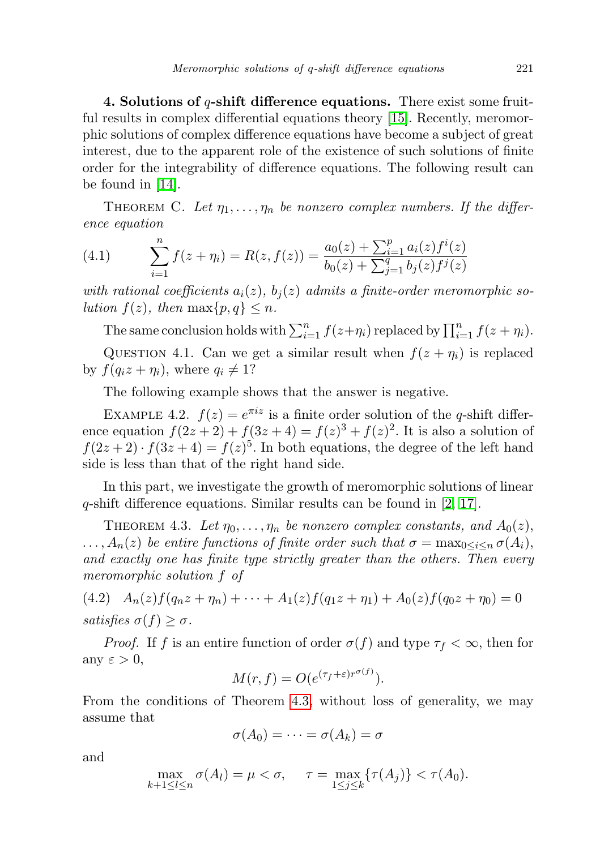4. Solutions of  $q$ -shift difference equations. There exist some fruitful results in complex differential equations theory [\[15\]](#page-10-1). Recently, meromorphic solutions of complex difference equations have become a subject of great interest, due to the apparent role of the existence of such solutions of finite order for the integrability of difference equations. The following result can be found in  $|14|$ .

THEOREM C. Let  $\eta_1, \ldots, \eta_n$  be nonzero complex numbers. If the difference equation

(4.1) 
$$
\sum_{i=1}^{n} f(z + \eta_i) = R(z, f(z)) = \frac{a_0(z) + \sum_{i=1}^{p} a_i(z) f^i(z)}{b_0(z) + \sum_{j=1}^{q} b_j(z) f^j(z)}
$$

with rational coefficients  $a_i(z)$ ,  $b_i(z)$  admits a finite-order meromorphic solution  $f(z)$ , then  $\max\{p,q\} \leq n$ .

The same conclusion holds with  $\sum_{i=1}^{n} f(z+\eta_i)$  replaced by  $\prod_{i=1}^{n} f(z+\eta_i)$ .

QUESTION 4.1. Can we get a similar result when  $f(z + \eta_i)$  is replaced by  $f(q_iz + \eta_i)$ , where  $q_i \neq 1$ ?

The following example shows that the answer is negative.

EXAMPLE 4.2.  $f(z) = e^{\pi i z}$  is a finite order solution of the q-shift difference equation  $f(2z+2) + f(3z+4) = f(z)^3 + f(z)^2$ . It is also a solution of  $f(2z+2)\cdot f(3z+4) = f(z)^5$ . In both equations, the degree of the left hand side is less than that of the right hand side.

In this part, we investigate the growth of meromorphic solutions of linear q-shift difference equations. Similar results can be found in [\[2,](#page-9-7) [17\]](#page-10-6).

<span id="page-6-0"></span>THEOREM 4.3. Let  $\eta_0, \ldots, \eta_n$  be nonzero complex constants, and  $A_0(z)$ ,  $\ldots$ ,  $A_n(z)$  be entire functions of finite order such that  $\sigma = \max_{0 \leq i \leq n} \sigma(A_i)$ , and exactly one has finite type strictly greater than the others. Then every meromorphic solution f of

<span id="page-6-1"></span>(4.2) 
$$
A_n(z)f(q_nz+\eta_n)+\cdots+A_1(z)f(q_1z+\eta_1)+A_0(z)f(q_0z+\eta_0)=0
$$
  
satisfies  $\sigma(f) \geq \sigma$ .

*Proof.* If f is an entire function of order  $\sigma(f)$  and type  $\tau_f < \infty$ , then for any  $\varepsilon > 0$ ,

$$
M(r, f) = O(e^{(\tau_f + \varepsilon)r^{\sigma(f)}}).
$$

From the conditions of Theorem [4.3,](#page-6-0) without loss of generality, we may assume that

$$
\sigma(A_0)=\cdots=\sigma(A_k)=\sigma
$$

and

$$
\max_{k+1 \leq l \leq n} \sigma(A_l) = \mu < \sigma, \quad \tau = \max_{1 \leq j \leq k} \{ \tau(A_j) \} < \tau(A_0).
$$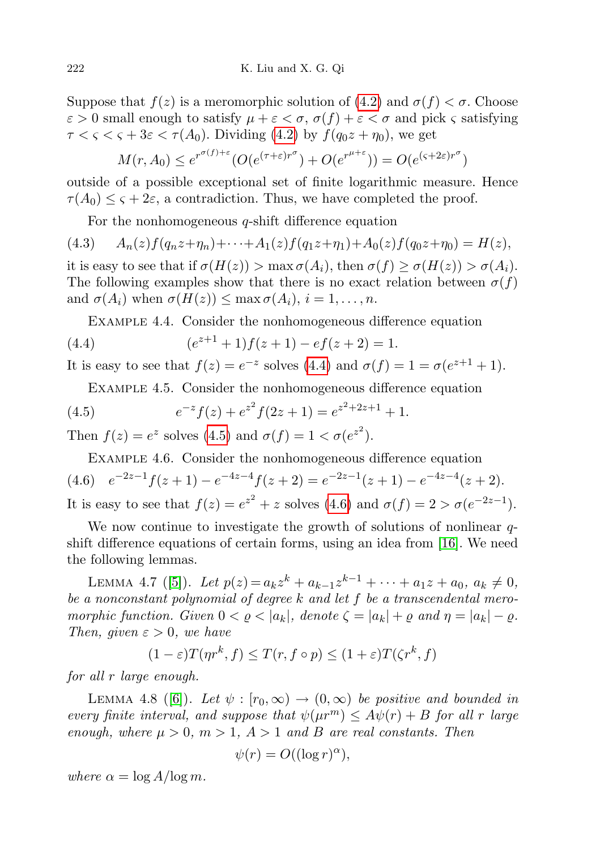Suppose that  $f(z)$  is a meromorphic solution of  $(4.2)$  $(4.2)$  and  $\sigma(f) < \sigma$ . Choose  $\varepsilon > 0$  small enough to satisfy  $\mu + \varepsilon < \sigma$ ,  $\sigma(f) + \varepsilon < \sigma$  and pick  $\varsigma$  satisfying  $\tau < \varsigma < \tau + 3\varepsilon < \tau(A_0)$ . Dividing [\(4.2\)](#page-6-1) by  $f(q_0z + \eta_0)$ , we get

$$
M(r, A_0) \le e^{r^{\sigma(f)+\varepsilon}} (O(e^{(\tau+\varepsilon)r^{\sigma}}) + O(e^{r^{\mu+\varepsilon}})) = O(e^{(\varsigma+2\varepsilon)r^{\sigma}})
$$

outside of a possible exceptional set of finite logarithmic measure. Hence  $\tau(A_0) \leq \varsigma + 2\varepsilon$ , a contradiction. Thus, we have completed the proof.

For the nonhomogeneous  $q$ -shift difference equation

 $(A.3)$   $A_n(z)f(q_nz+\eta_n)+\cdots+A_1(z)f(q_1z+\eta_1)+A_0(z)f(q_0z+\eta_0)=H(z),$ it is easy to see that if  $\sigma(H(z)) > \max \sigma(A_i)$ , then  $\sigma(f) \geq \sigma(H(z)) > \sigma(A_i)$ . The following examples show that there is no exact relation between  $\sigma(f)$ and  $\sigma(A_i)$  when  $\sigma(H(z)) \leq \max \sigma(A_i), i = 1, \ldots, n$ .

<span id="page-7-0"></span>Example 4.4. Consider the nonhomogeneous difference equation

(4.4) 
$$
(e^{z+1}+1)f(z+1)-ef(z+2)=1.
$$

It is easy to see that  $f(z) = e^{-z}$  solves  $(4.4)$  $(4.4)$  and  $\sigma(f) = 1 = \sigma(e^{z+1} + 1)$ .

<span id="page-7-1"></span>Example 4.5. Consider the nonhomogeneous difference equation

(4.5) 
$$
e^{-z}f(z) + e^{z^2}f(2z+1) = e^{z^2+2z+1} + 1.
$$

Then  $f(z) = e^z$  solves [\(4](#page-7-1).5) and  $\sigma(f) = 1 < \sigma(e^{z^2})$ .

<span id="page-7-2"></span>Example 4.6. Consider the nonhomogeneous difference equation  $(4.6) \quad e^{-2z-1}f(z+1) - e^{-4z-4}f(z+2) = e^{-2z-1}(z+1) - e^{-4z-4}(z+2).$ It is easy to see that  $f(z) = e^{z^2} + z$  solves  $(4.6)$  $(4.6)$  and  $\sigma(f) = 2 > \sigma(e^{-2z-1})$ .

We now continue to investigate the growth of solutions of nonlinear  $q$ shift difference equations of certain forms, using an idea from [\[16\]](#page-10-7). We need the following lemmas.

<span id="page-7-3"></span>LEMMA 4.7 ([\[5\]](#page-9-9)). Let  $p(z) = a_k z^k + a_{k-1} z^{k-1} + \cdots + a_1 z + a_0, a_k \neq 0$ , be a nonconstant polynomial of degree  $k$  and let  $f$  be a transcendental meromorphic function. Given  $0 < \varrho < |a_k|$ , denote  $\zeta = |a_k| + \varrho$  and  $\eta = |a_k| - \varrho$ . Then, given  $\varepsilon > 0$ , we have

$$
(1 - \varepsilon)T(\eta r^k, f) \le T(r, f \circ p) \le (1 + \varepsilon)T(\zeta r^k, f)
$$

for all r large enough.

<span id="page-7-4"></span>LEMMA 4.8 ([\[6\]](#page-9-10)). Let  $\psi : [r_0, \infty) \to (0, \infty)$  be positive and bounded in every finite interval, and suppose that  $\psi(\mu r^m) \leq A\psi(r) + B$  for all r large enough, where  $\mu > 0$ ,  $m > 1$ ,  $A > 1$  and B are real constants. Then

$$
\psi(r) = O((\log r)^{\alpha}),
$$

where  $\alpha = \log A / \log m$ .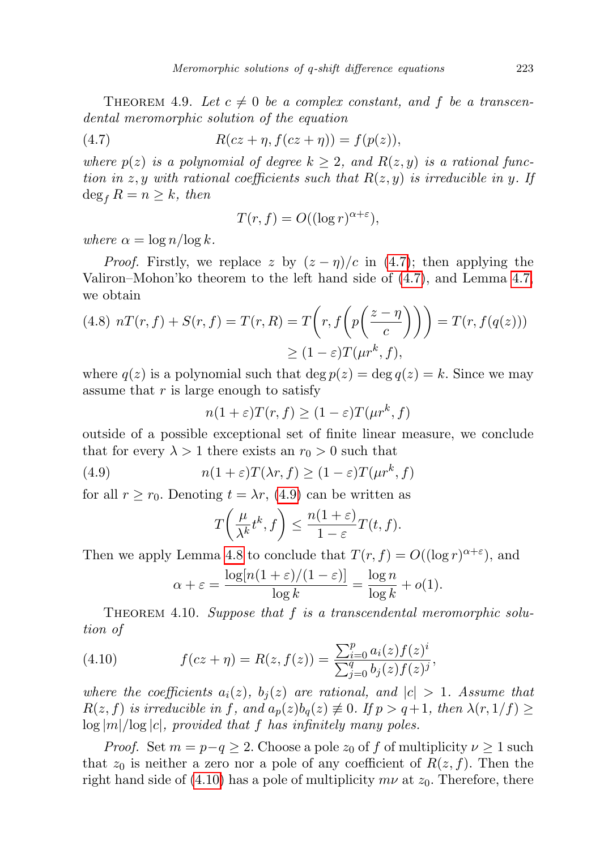THEOREM 4.9. Let  $c \neq 0$  be a complex constant, and f be a transcendental meromorphic solution of the equation

(4.7) 
$$
R(cz + \eta, f(cz + \eta)) = f(p(z)),
$$

where  $p(z)$  is a polynomial of degree  $k \geq 2$ , and  $R(z, y)$  is a rational function in z, y with rational coefficients such that  $R(z, y)$  is irreducible in y. If  $\deg_f R = n \geq k$ , then

<span id="page-8-0"></span>
$$
T(r, f) = O((\log r)^{\alpha + \varepsilon}),
$$

where  $\alpha = \log n / \log k$ .

*Proof.* Firstly, we replace z by  $(z - \eta)/c$  in [\(4.7\)](#page-8-0); then applying the Valiron–Mohon'ko theorem to the left hand side of [\(4.7\)](#page-8-0), and Lemma [4.7,](#page-7-3) we obtain

(4.8) 
$$
nT(r, f) + S(r, f) = T(r, R) = T\left(r, f\left(p\left(\frac{z-\eta}{c}\right)\right)\right) = T(r, f(q(z)))
$$
  

$$
\geq (1-\varepsilon)T(\mu r^k, f),
$$

where  $q(z)$  is a polynomial such that deg  $p(z) = \deg q(z) = k$ . Since we may assume that  $r$  is large enough to satisfy

$$
n(1+\varepsilon)T(r,f) \ge (1-\varepsilon)T(\mu r^k,f)
$$

outside of a possible exceptional set of finite linear measure, we conclude that for every  $\lambda > 1$  there exists an  $r_0 > 0$  such that

(4.9) 
$$
n(1+\varepsilon)T(\lambda r, f) \ge (1-\varepsilon)T(\mu r^k, f)
$$

for all  $r \ge r_0$ . Denoting  $t = \lambda r$ , [\(4.9\)](#page-8-1) can be written as

<span id="page-8-1"></span>
$$
T\left(\frac{\mu}{\lambda^k}t^k,f\right)\leq \frac{n(1+\varepsilon)}{1-\varepsilon}T(t,f).
$$

Then we apply Lemma [4.8](#page-7-4) to conclude that  $T(r, f) = O((\log r)^{\alpha + \varepsilon})$ , and

<span id="page-8-2"></span>
$$
\alpha + \varepsilon = \frac{\log[n(1+\varepsilon)/(1-\varepsilon)]}{\log k} = \frac{\log n}{\log k} + o(1).
$$

THEOREM 4.10. Suppose that  $f$  is a transcendental meromorphic solution of

(4.10) 
$$
f(cz + \eta) = R(z, f(z)) = \frac{\sum_{i=0}^{p} a_i(z) f(z)^i}{\sum_{j=0}^{q} b_j(z) f(z)^j},
$$

where the coefficients  $a_i(z)$ ,  $b_i(z)$  are rational, and  $|c| > 1$ . Assume that  $R(z, f)$  is irreducible in f, and  $a_p(z)b_q(z) \neq 0$ . If  $p > q+1$ , then  $\lambda(r, 1/f) \geq$  $\log |m|/\log |c|$ , provided that f has infinitely many poles.

*Proof.* Set  $m = p-q \geq 2$ . Choose a pole  $z_0$  of f of multiplicity  $\nu \geq 1$  such that  $z_0$  is neither a zero nor a pole of any coefficient of  $R(z, f)$ . Then the right hand side of [\(4.10\)](#page-8-2) has a pole of multiplicity  $m\nu$  at  $z_0$ . Therefore, there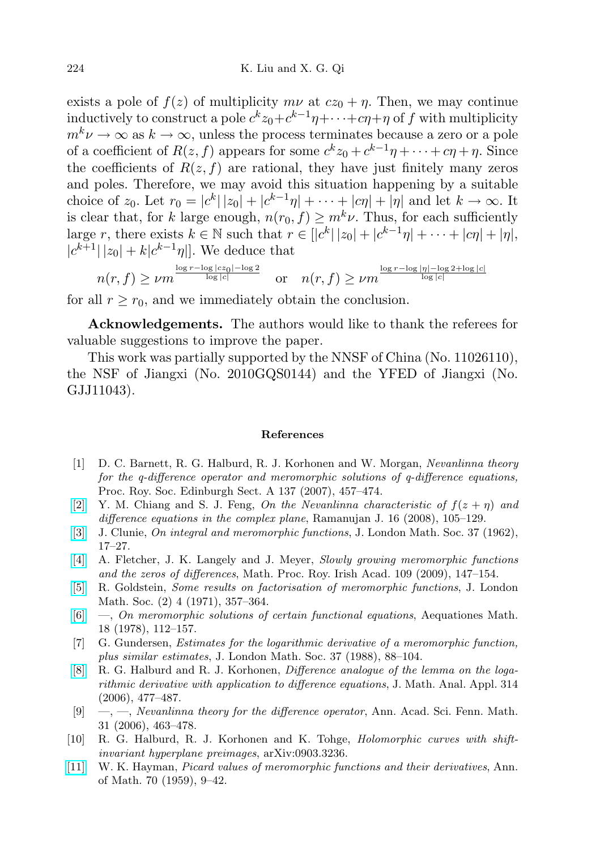exists a pole of  $f(z)$  of multiplicity  $m\nu$  at  $cz_0 + n$ . Then, we may continue  $\text{inductively to construct a pole } c^k z_0 + c^{k-1} \eta + \cdots + c \eta + \eta \text{ of } f \text{ with multiplicity }$  $m^k \nu \to \infty$  as  $k \to \infty$ , unless the process terminates because a zero or a pole of a coefficient of  $R(z, f)$  appears for some  $c^k z_0 + c^{k-1}\eta + \cdots + c\eta + \eta$ . Since the coefficients of  $R(z, f)$  are rational, they have just finitely many zeros and poles. Therefore, we may avoid this situation happening by a suitable choice of  $z_0$ . Let  $r_0 = |c^k||z_0| + |c^{k-1}\eta| + \cdots + |c\eta| + |\eta|$  and let  $k \to \infty$ . It is clear that, for k large enough,  $n(r_0, f) \geq m^k \nu$ . Thus, for each sufficiently large r, there exists  $k \in \mathbb{N}$  such that  $r \in [|c^k| |z_0| + |c^{k-1}\eta| + \cdots + |c\eta| + |\eta|$ ,  $|c^{k+1}| |z_0| + k |c^{k-1} \eta|$ . We deduce that

$$
n(r, f) \ge \nu m^{\frac{\log r - \log |cz_0| - \log 2}{\log |c|}} \quad \text{or} \quad n(r, f) \ge \nu m^{\frac{\log r - \log |\eta| - \log 2 + \log |c|}{\log |c|}}
$$

for all  $r \ge r_0$ , and we immediately obtain the conclusion.

Acknowledgements. The authors would like to thank the referees for valuable suggestions to improve the paper.

This work was partially supported by the NNSF of China (No. 11026110), the NSF of Jiangxi (No. 2010GQS0144) and the YFED of Jiangxi (No. GJJ11043).

## References

- <span id="page-9-3"></span>[1] D. C. Barnett, R. G. Halburd, R. J. Korhonen and W. Morgan, Nevanlinna theory for the q-difference operator and meromorphic solutions of q-difference equations, Proc. Roy. Soc. Edinburgh Sect. A 137 (2007), 457–474.
- <span id="page-9-7"></span>[\[2\]](http://dx.doi.org/10.1007/s11139-007-9101-1) Y. M. Chiang and S. J. Feng, On the Nevanlinna characteristic of  $f(z + \eta)$  and difference equations in the complex plane, Ramanujan J. 16 (2008), 105–129.
- <span id="page-9-6"></span>[\[3\]](http://dx.doi.org/10.1112/jlms/s1-37.1.17) J. Clunie, On integral and meromorphic functions, J. London Math. Soc. 37 (1962), 17–27.
- <span id="page-9-8"></span>[\[4\]](http://dx.doi.org/10.3318/PRIA.2009.109.2.147) A. Fletcher, J. K. Langely and J. Meyer, Slowly growing meromorphic functions and the zeros of differences, Math. Proc. Roy. Irish Acad. 109 (2009), 147–154.
- <span id="page-9-9"></span>[\[5\]](http://dx.doi.org/10.1112/jlms/s2-4.2.357) R. Goldstein, Some results on factorisation of meromorphic functions, J. London Math. Soc. (2) 4 (1971), 357–364.
- <span id="page-9-10"></span>[\[6\]](http://dx.doi.org/10.1007/BF01844071) —, On meromorphic solutions of certain functional equations, Aequationes Math. 18 (1978), 112–157.
- <span id="page-9-0"></span>[7] G. Gundersen, Estimates for the logarithmic derivative of a meromorphic function, plus similar estimates, J. London Math. Soc. 37 (1988), 88–104.
- <span id="page-9-5"></span>[\[8\]](http://dx.doi.org/10.1016/j.jmaa.2005.04.010) R. G. Halburd and R. J. Korhonen, Difference analogue of the lemma on the logarithmic derivative with application to difference equations, J. Math. Anal. Appl. 314 (2006), 477–487.
- <span id="page-9-1"></span> $[9] \quad , \quad \_ \ldots$ , Nevanlinna theory for the difference operator, Ann. Acad. Sci. Fenn. Math. 31 (2006), 463–478.
- <span id="page-9-2"></span>[10] R. G. Halburd, R. J. Korhonen and K. Tohge, Holomorphic curves with shiftinvariant hyperplane preimages, arXiv:0903.3236.
- <span id="page-9-4"></span>[\[11\]](http://dx.doi.org/10.2307/1969890) W. K. Hayman, Picard values of meromorphic functions and their derivatives, Ann. of Math. 70 (1959), 9–42.